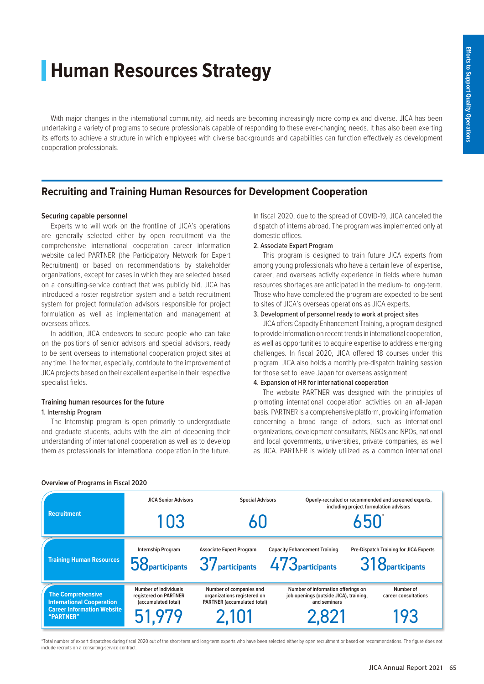# **Human Resources Strategy**

With major changes in the international community, aid needs are becoming increasingly more complex and diverse. JICA has been undertaking a variety of programs to secure professionals capable of responding to these ever-changing needs. It has also been exerting its efforts to achieve a structure in which employees with diverse backgrounds and capabilities can function effectively as development cooperation professionals.

# **Recruiting and Training Human Resources for Development Cooperation**

# **Securing capable personnel**

Experts who will work on the frontline of JICA's operations are generally selected either by open recruitment via the comprehensive international cooperation career information website called PARTNER (the Participatory Network for Expert Recruitment) or based on recommendations by stakeholder organizations, except for cases in which they are selected based on a consulting-service contract that was publicly bid. JICA has introduced a roster registration system and a batch recruitment system for project formulation advisors responsible for project formulation as well as implementation and management at overseas offices.

In addition, JICA endeavors to secure people who can take on the positions of senior advisors and special advisors, ready to be sent overseas to international cooperation project sites at any time. The former, especially, contribute to the improvement of JICA projects based on their excellent expertise in their respective specialist fields.

# **Training human resources for the future**

# 1. Internship Program

The Internship program is open primarily to undergraduate and graduate students, adults with the aim of deepening their understanding of international cooperation as well as to develop them as professionals for international cooperation in the future.

In fiscal 2020, due to the spread of COVID-19, JICA canceled the dispatch of interns abroad. The program was implemented only at domestic offices.

## 2. Associate Expert Program

This program is designed to train future JICA experts from among young professionals who have a certain level of expertise, career, and overseas activity experience in fields where human resources shortages are anticipated in the medium- to long-term. Those who have completed the program are expected to be sent to sites of JICA's overseas operations as JICA experts.

# 3. Development of personnel ready to work at project sites

JICA offers Capacity Enhancement Training, a program designed to provide information on recent trends in international cooperation, as well as opportunities to acquire expertise to address emerging challenges. In fiscal 2020, JICA offered 18 courses under this program. JICA also holds a monthly pre-dispatch training session for those set to leave Japan for overseas assignment.

## 4. Expansion of HR for international cooperation

The website PARTNER was designed with the principles of promoting international cooperation activities on an all-Japan basis. PARTNER is a comprehensive platform, providing information concerning a broad range of actors, such as international organizations, development consultants, NGOs and NPOs, national and local governments, universities, private companies, as well as JICA. PARTNER is widely utilized as a common international

| <b>Recruitment</b>                                                                                             | <b>JICA Senior Advisors</b>                                           | <b>Special Advisors</b>                                                                      |                                      | Openly-recruited or recommended and screened experts,<br>including project formulation advisors                   |  |
|----------------------------------------------------------------------------------------------------------------|-----------------------------------------------------------------------|----------------------------------------------------------------------------------------------|--------------------------------------|-------------------------------------------------------------------------------------------------------------------|--|
|                                                                                                                | 103                                                                   | 60                                                                                           |                                      | 650                                                                                                               |  |
| <b>Training Human Resources</b>                                                                                | Internship Program                                                    | <b>Associate Expert Program</b><br>58 participants 37 participants 473 participants          | <b>Capacity Enhancement Training</b> | <b>Pre-Dispatch Training for JICA Experts</b><br>318 <i><u><b>Oparticipants</b></u></i>                           |  |
| <b>The Comprehensive</b><br><b>International Cooperation</b><br><b>Career Information Website</b><br>"PARTNER" | Number of individuals<br>registered on PARTNER<br>(accumulated total) | Number of companies and<br>organizations registered on<br><b>PARTNER (accumulated total)</b> | and seminars                         | Number of information offerings on<br>Number of<br>job openings (outside JICA), training,<br>career consultations |  |
|                                                                                                                | 51,979                                                                | 2,101                                                                                        | 2.821                                | 193                                                                                                               |  |

## **Overview of Programs in Fiscal 2020**

#### \*Total number of expert dispatches during fiscal 2020 out of the short-term and long-term experts who have been selected either by open recruitment or based on recommendations. The figure does not include recruits on a consulting-service contract.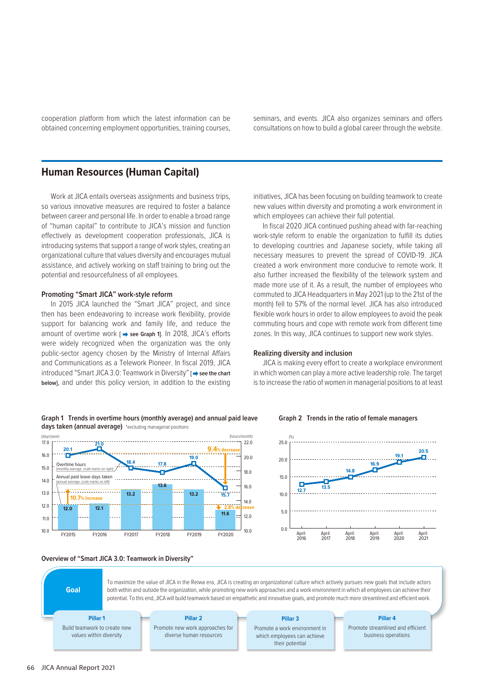cooperation platform from which the latest information can be obtained concerning employment opportunities, training courses, seminars, and events. JICA also organizes seminars and offers consultations on how to build a global career through the website.

# **Human Resources (Human Capital)**

Work at JICA entails overseas assignments and business trips, so various innovative measures are required to foster a balance between career and personal life. In order to enable a broad range of "human capital" to contribute to JICA's mission and function effectively as development cooperation professionals, JICA is introducing systems that support a range of work styles, creating an organizational culture that values diversity and encourages mutual assistance, and actively working on staff training to bring out the potential and resourcefulness of all employees.

## **Promoting "Smart JICA" work-style reform**

In 2015 JICA launched the "Smart JICA" project, and since then has been endeavoring to increase work flexibility, provide support for balancing work and family life, and reduce the amount of overtime work [  $\rightarrow$  see Graph 1]. In 2018, JICA's efforts were widely recognized when the organization was the only public-sector agency chosen by the Ministry of Internal Affairs and Communications as a Telework Pioneer. In fiscal 2019, JICA introduced "Smart JICA 3.0: Teamwork in Diversity" **[ → see the chart below]**, and under this policy version, in addition to the existing

initiatives, JICA has been focusing on building teamwork to create new values within diversity and promoting a work environment in which employees can achieve their full potential.

In fiscal 2020 JICA continued pushing ahead with far-reaching work-style reform to enable the organization to fulfill its duties to developing countries and Japanese society, while taking all necessary measures to prevent the spread of COVID-19. JICA created a work environment more conducive to remote work. It also further increased the flexibility of the telework system and made more use of it. As a result, the number of employees who commuted to JICA Headquarters in May 2021 (up to the 21st of the month) fell to 57% of the normal level. JICA has also introduced flexible work hours in order to allow employees to avoid the peak commuting hours and cope with remote work from different time zones. In this way, JICA continues to support new work styles.

## **Realizing diversity and inclusion**

JICA is making every effort to create a workplace environment in which women can play a more active leadership role. The target is to increase the ratio of women in managerial positions to at least

**Graph 2 Trends in the ratio of female managers**

April 2018

**14.8**

April 2019

**16.9**

April 2020

April 2021

**19.1 20.5**

. . . . . . . . .



# **Graph 1 Trends in overtime hours (monthly average) and annual paid leave**





To maximize the value of JICA in the Reiwa era, JICA is creating an organizational culture which actively pursues new goals that include actors both within and outside the organization, while promoting new work approaches and a work environment in which all employees can achieve their potential. To this end, JICA will build teamwork based on empathetic and innovative goals, and promote much more streamlined and efficient work.

# **Pillar 1** Build teamwork to create new values within diversity

**Goal**

**Pillar 2** Promote new work approaches for diverse human resources

# **Pillar 3**

Promote a work environment in which employees can achieve their potential

**Pillar 4**

Promote streamlined and efficient business operations